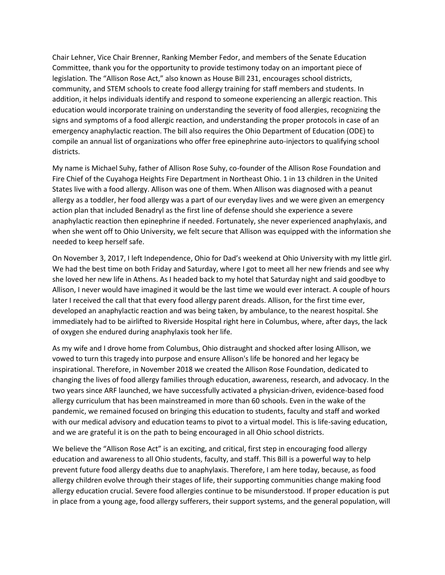Chair Lehner, Vice Chair Brenner, Ranking Member Fedor, and members of the Senate Education Committee, thank you for the opportunity to provide testimony today on an important piece of legislation. The "Allison Rose Act," also known as House Bill 231, encourages school districts, community, and STEM schools to create food allergy training for staff members and students. In addition, it helps individuals identify and respond to someone experiencing an allergic reaction. This education would incorporate training on understanding the severity of food allergies, recognizing the signs and symptoms of a food allergic reaction, and understanding the proper protocols in case of an emergency anaphylactic reaction. The bill also requires the Ohio Department of Education (ODE) to compile an annual list of organizations who offer free epinephrine auto-injectors to qualifying school districts.

My name is Michael Suhy, father of Allison Rose Suhy, co-founder of the Allison Rose Foundation and Fire Chief of the Cuyahoga Heights Fire Department in Northeast Ohio. 1 in 13 children in the United States live with a food allergy. Allison was one of them. When Allison was diagnosed with a peanut allergy as a toddler, her food allergy was a part of our everyday lives and we were given an emergency action plan that included Benadryl as the first line of defense should she experience a severe anaphylactic reaction then epinephrine if needed. Fortunately, she never experienced anaphylaxis, and when she went off to Ohio University, we felt secure that Allison was equipped with the information she needed to keep herself safe.

On November 3, 2017, I left Independence, Ohio for Dad's weekend at Ohio University with my little girl. We had the best time on both Friday and Saturday, where I got to meet all her new friends and see why she loved her new life in Athens. As I headed back to my hotel that Saturday night and said goodbye to Allison, I never would have imagined it would be the last time we would ever interact. A couple of hours later I received the call that that every food allergy parent dreads. Allison, for the first time ever, developed an anaphylactic reaction and was being taken, by ambulance, to the nearest hospital. She immediately had to be airlifted to Riverside Hospital right here in Columbus, where, after days, the lack of oxygen she endured during anaphylaxis took her life.

As my wife and I drove home from Columbus, Ohio distraught and shocked after losing Allison, we vowed to turn this tragedy into purpose and ensure Allison's life be honored and her legacy be inspirational. Therefore, in November 2018 we created the Allison Rose Foundation, dedicated to changing the lives of food allergy families through education, awareness, research, and advocacy. In the two years since ARF launched, we have successfully activated a physician-driven, evidence-based food allergy curriculum that has been mainstreamed in more than 60 schools. Even in the wake of the pandemic, we remained focused on bringing this education to students, faculty and staff and worked with our medical advisory and education teams to pivot to a virtual model. This is life-saving education, and we are grateful it is on the path to being encouraged in all Ohio school districts.

We believe the "Allison Rose Act" is an exciting, and critical, first step in encouraging food allergy education and awareness to all Ohio students, faculty, and staff. This Bill is a powerful way to help prevent future food allergy deaths due to anaphylaxis. Therefore, I am here today, because, as food allergy children evolve through their stages of life, their supporting communities change making food allergy education crucial. Severe food allergies continue to be misunderstood. If proper education is put in place from a young age, food allergy sufferers, their support systems, and the general population, will